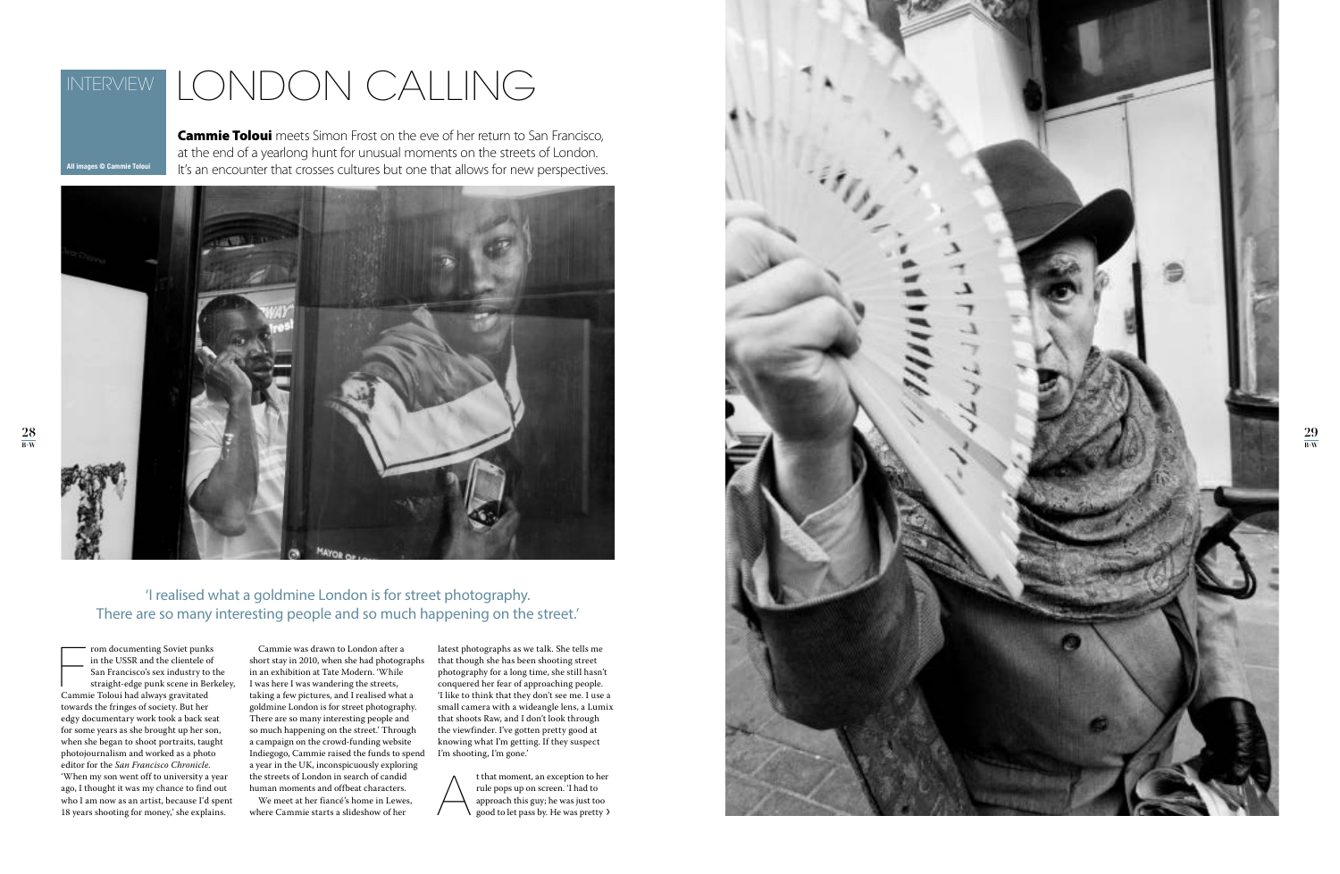**29 B+W**

From documenting Soviet punk<br>
in the USSR and the clientele of<br>
San Francisco's sex industry to<br>
straight-edge punk scene in Be<br>
Cammie Toloui had always gravitated rom documenting Soviet punks in the USSR and the clientele of San Francisco's sex industry to the straight-edge punk scene in Berkeley, towards the fringes of society. But her edgy documentary work took a back seat for some years as she brought up her son, when she began to shoot portraits, taught photojournalism and worked as a photo editor for the *San Francisco Chronicle*. 'When my son went off to university a year ago, I thought it was my chance to find out who I am now as an artist, because I'd spent 18 years shooting for money,' she explains.

Cammie was drawn to London after a short stay in 2010, when she had photographs in an exhibition at Tate Modern. 'While I was here I was wandering the streets, taking a few pictures, and I realised what a goldmine London is for street photography. There are so many interesting people and so much happening on the street.' Through a campaign on the crowd-funding website Indiegogo, Cammie raised the funds to spend a year in the UK, inconspicuously exploring the streets of London in search of candid human moments and offbeat characters.

t that moment, an exception to her<br>rule pops up on screen. Thad to<br>approach this guy; he was just too<br>good to let pass by. He was pretty  $\lambda$ rule pops up on screen. 'I had to approach this guy; he was just too good to let pass by. He was pretty ›



We meet at her fiancé's home in Lewes, where Cammie starts a slideshow of her

latest photographs as we talk. She tells me that though she has been shooting street photography for a long time, she still hasn't conquered her fear of approaching people. 'I like to think that they don't see me. I use a small camera with a wideangle lens, a Lumix that shoots Raw, and I don't look through the viewfinder. I've gotten pretty good at knowing what I'm getting. If they suspect I'm shooting, I'm gone.'

## INTERVIEW LONDON CALLING

**All images © Cammie Toloui**

**Cammie Toloui** meets Simon Frost on the eve of her return to San Francisco, at the end of a yearlong hunt for unusual moments on the streets of London. It's an encounter that crosses cultures but one that allows for new perspectives.



'I realised what a goldmine London is for street photography. There are so many interesting people and so much happening on the street.'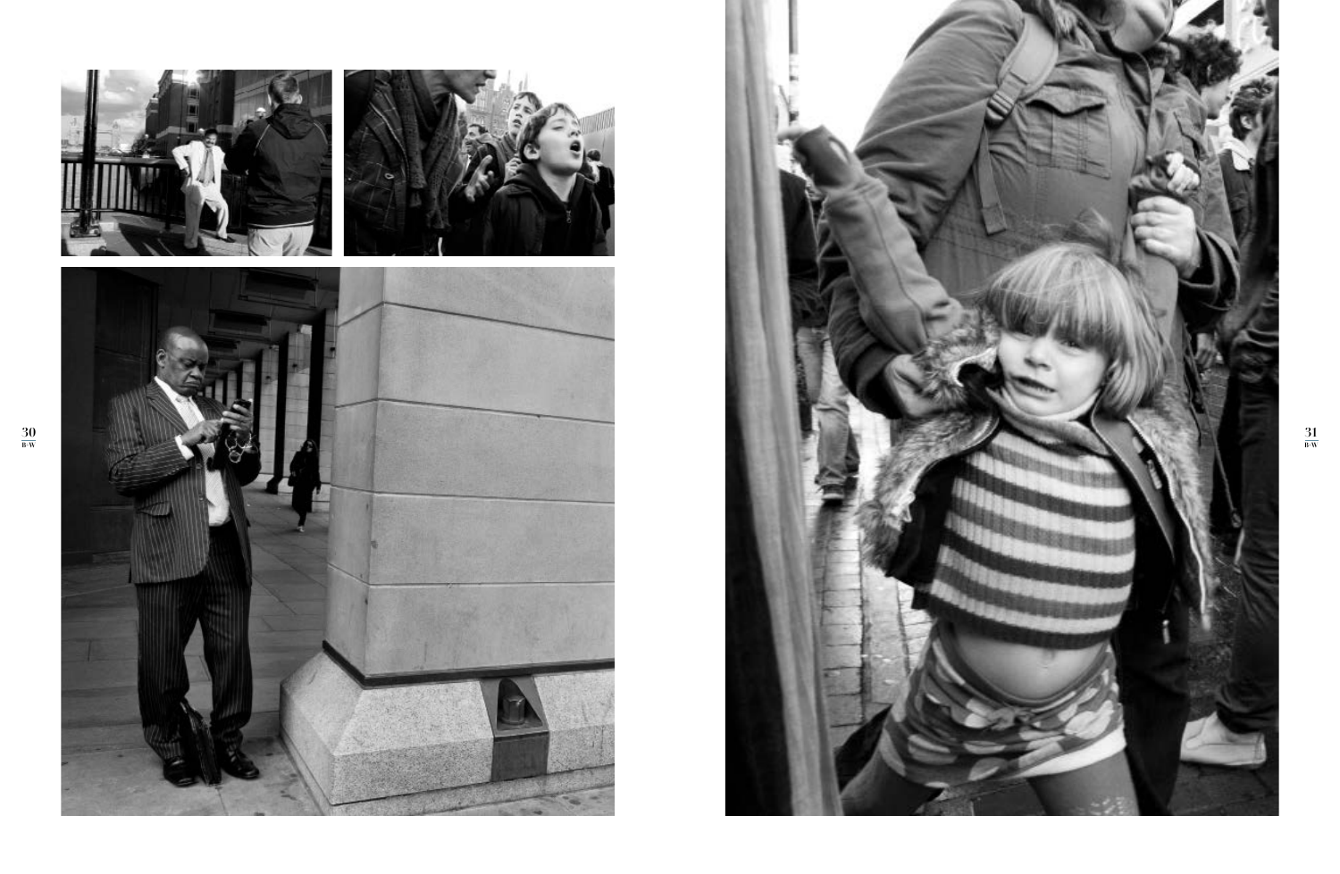



 $\frac{31}{\text{B}^+W}$